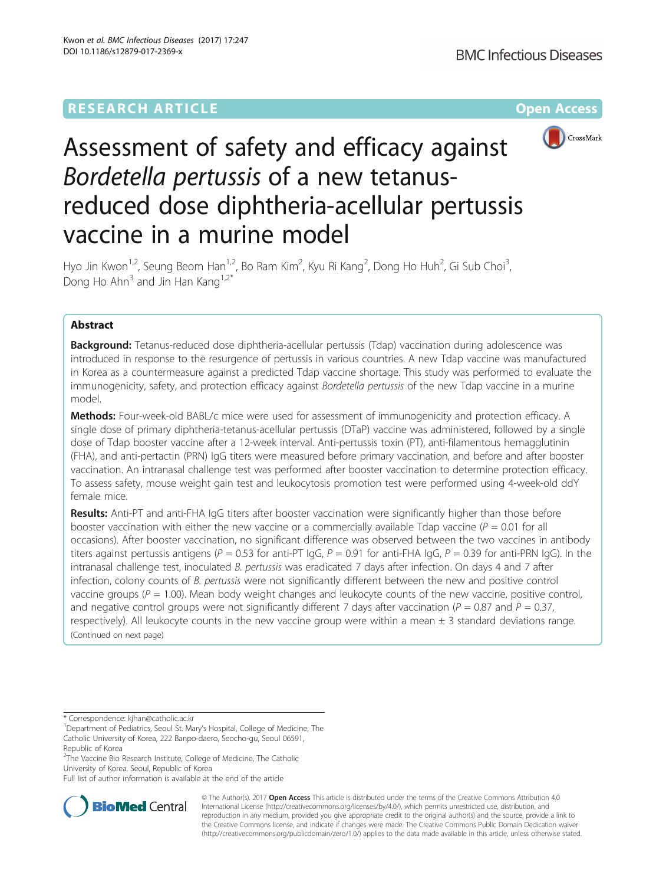## **RESEARCH ARTICLE Example 2014 12:30 The Community Community Community Community Community Community Community**



# Assessment of safety and efficacy against Bordetella pertussis of a new tetanusreduced dose diphtheria-acellular pertussis vaccine in a murine model

Hyo Jin Kwon<sup>1,2</sup>, Seung Beom Han<sup>1,2</sup>, Bo Ram Kim<sup>2</sup>, Kyu Ri Kang<sup>2</sup>, Dong Ho Huh<sup>2</sup>, Gi Sub Choi<sup>3</sup> , Dong Ho Ahn<sup>3</sup> and Jin Han Kang<sup>1,2\*</sup>

## Abstract

**Background:** Tetanus-reduced dose diphtheria-acellular pertussis (Tdap) vaccination during adolescence was introduced in response to the resurgence of pertussis in various countries. A new Tdap vaccine was manufactured in Korea as a countermeasure against a predicted Tdap vaccine shortage. This study was performed to evaluate the immunogenicity, safety, and protection efficacy against *Bordetella pertussis* of the new Tdap vaccine in a murine model.

Methods: Four-week-old BABL/c mice were used for assessment of immunogenicity and protection efficacy. A single dose of primary diphtheria-tetanus-acellular pertussis (DTaP) vaccine was administered, followed by a single dose of Tdap booster vaccine after a 12-week interval. Anti-pertussis toxin (PT), anti-filamentous hemagglutinin (FHA), and anti-pertactin (PRN) IgG titers were measured before primary vaccination, and before and after booster vaccination. An intranasal challenge test was performed after booster vaccination to determine protection efficacy. To assess safety, mouse weight gain test and leukocytosis promotion test were performed using 4-week-old ddY female mice.

Results: Anti-PT and anti-FHA IgG titers after booster vaccination were significantly higher than those before booster vaccination with either the new vaccine or a commercially available Tdap vaccine ( $P = 0.01$  for all occasions). After booster vaccination, no significant difference was observed between the two vaccines in antibody titers against pertussis antigens ( $P = 0.53$  for anti-PT IgG,  $P = 0.91$  for anti-FHA IgG,  $P = 0.39$  for anti-PRN IgG). In the intranasal challenge test, inoculated B. pertussis was eradicated 7 days after infection. On days 4 and 7 after infection, colony counts of B. pertussis were not significantly different between the new and positive control vaccine groups ( $P = 1.00$ ). Mean body weight changes and leukocyte counts of the new vaccine, positive control, and negative control groups were not significantly different 7 days after vaccination ( $P = 0.87$  and  $P = 0.37$ , respectively). All leukocyte counts in the new vaccine group were within a mean  $\pm$  3 standard deviations range. (Continued on next page)

\* Correspondence: [kjhan@catholic.ac.kr](mailto:kjhan@catholic.ac.kr) <sup>1</sup>

Republic of Korea

<sup>2</sup>The Vaccine Bio Research Institute, College of Medicine, The Catholic University of Korea, Seoul, Republic of Korea

Full list of author information is available at the end of the article



© The Author(s). 2017 **Open Access** This article is distributed under the terms of the Creative Commons Attribution 4.0 International License [\(http://creativecommons.org/licenses/by/4.0/](http://creativecommons.org/licenses/by/4.0/)), which permits unrestricted use, distribution, and reproduction in any medium, provided you give appropriate credit to the original author(s) and the source, provide a link to the Creative Commons license, and indicate if changes were made. The Creative Commons Public Domain Dedication waiver [\(http://creativecommons.org/publicdomain/zero/1.0/](http://creativecommons.org/publicdomain/zero/1.0/)) applies to the data made available in this article, unless otherwise stated.

<sup>&</sup>lt;sup>1</sup>Department of Pediatrics, Seoul St. Mary's Hospital, College of Medicine, The Catholic University of Korea, 222 Banpo-daero, Seocho-gu, Seoul 06591,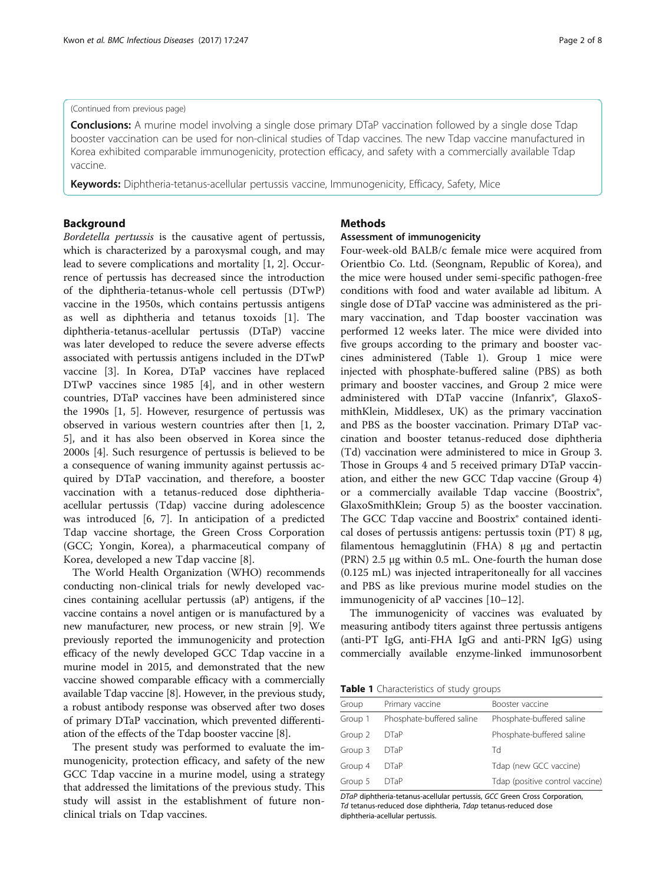## (Continued from previous page)

**Conclusions:** A murine model involving a single dose primary DTaP vaccination followed by a single dose Tdap booster vaccination can be used for non-clinical studies of Tdap vaccines. The new Tdap vaccine manufactured in Korea exhibited comparable immunogenicity, protection efficacy, and safety with a commercially available Tdap vaccine.

Keywords: Diphtheria-tetanus-acellular pertussis vaccine, Immunogenicity, Efficacy, Safety, Mice

## Background

Bordetella pertussis is the causative agent of pertussis, which is characterized by a paroxysmal cough, and may lead to severe complications and mortality [\[1, 2](#page-6-0)]. Occurrence of pertussis has decreased since the introduction of the diphtheria-tetanus-whole cell pertussis (DTwP) vaccine in the 1950s, which contains pertussis antigens as well as diphtheria and tetanus toxoids [\[1](#page-6-0)]. The diphtheria-tetanus-acellular pertussis (DTaP) vaccine was later developed to reduce the severe adverse effects associated with pertussis antigens included in the DTwP vaccine [\[3](#page-6-0)]. In Korea, DTaP vaccines have replaced DTwP vaccines since 1985 [\[4\]](#page-6-0), and in other western countries, DTaP vaccines have been administered since the 1990s [\[1](#page-6-0), [5\]](#page-6-0). However, resurgence of pertussis was observed in various western countries after then [[1, 2](#page-6-0), [5\]](#page-6-0), and it has also been observed in Korea since the 2000s [[4\]](#page-6-0). Such resurgence of pertussis is believed to be a consequence of waning immunity against pertussis acquired by DTaP vaccination, and therefore, a booster vaccination with a tetanus-reduced dose diphtheriaacellular pertussis (Tdap) vaccine during adolescence was introduced [[6, 7\]](#page-6-0). In anticipation of a predicted Tdap vaccine shortage, the Green Cross Corporation (GCC; Yongin, Korea), a pharmaceutical company of Korea, developed a new Tdap vaccine [[8\]](#page-6-0).

The World Health Organization (WHO) recommends conducting non-clinical trials for newly developed vaccines containing acellular pertussis (aP) antigens, if the vaccine contains a novel antigen or is manufactured by a new manufacturer, new process, or new strain [[9](#page-6-0)]. We previously reported the immunogenicity and protection efficacy of the newly developed GCC Tdap vaccine in a murine model in 2015, and demonstrated that the new vaccine showed comparable efficacy with a commercially available Tdap vaccine [[8\]](#page-6-0). However, in the previous study, a robust antibody response was observed after two doses of primary DTaP vaccination, which prevented differentiation of the effects of the Tdap booster vaccine [\[8\]](#page-6-0).

The present study was performed to evaluate the immunogenicity, protection efficacy, and safety of the new GCC Tdap vaccine in a murine model, using a strategy that addressed the limitations of the previous study. This study will assist in the establishment of future nonclinical trials on Tdap vaccines.

## Methods

## Assessment of immunogenicity

Four-week-old BALB/c female mice were acquired from Orientbio Co. Ltd. (Seongnam, Republic of Korea), and the mice were housed under semi-specific pathogen-free conditions with food and water available ad libitum. A single dose of DTaP vaccine was administered as the primary vaccination, and Tdap booster vaccination was performed 12 weeks later. The mice were divided into five groups according to the primary and booster vaccines administered (Table 1). Group 1 mice were injected with phosphate-buffered saline (PBS) as both primary and booster vaccines, and Group 2 mice were administered with DTaP vaccine (Infanrix®, GlaxoSmithKlein, Middlesex, UK) as the primary vaccination and PBS as the booster vaccination. Primary DTaP vaccination and booster tetanus-reduced dose diphtheria (Td) vaccination were administered to mice in Group 3. Those in Groups 4 and 5 received primary DTaP vaccination, and either the new GCC Tdap vaccine (Group 4) or a commercially available Tdap vaccine (Boostrix®, GlaxoSmithKlein; Group 5) as the booster vaccination. The GCC Tdap vaccine and Boostrix® contained identical doses of pertussis antigens: pertussis toxin (PT) 8 μg, filamentous hemagglutinin (FHA) 8 μg and pertactin (PRN) 2.5 μg within 0.5 mL. One-fourth the human dose (0.125 mL) was injected intraperitoneally for all vaccines and PBS as like previous murine model studies on the immunogenicity of aP vaccines [[10](#page-6-0)–[12\]](#page-6-0).

The immunogenicity of vaccines was evaluated by measuring antibody titers against three pertussis antigens (anti-PT IgG, anti-FHA IgG and anti-PRN IgG) using commercially available enzyme-linked immunosorbent

Table 1 Characteristics of study groups

| Group   | Primary vaccine           | Booster vaccine                 |
|---------|---------------------------|---------------------------------|
| Group 1 | Phosphate-buffered saline | Phosphate-buffered saline       |
| Group 2 | DTaP                      | Phosphate-buffered saline       |
| Group 3 | DTaP.                     | Td                              |
| Group 4 | DTaP.                     | Tdap (new GCC vaccine)          |
| Group 5 | DTaP.                     | Tdap (positive control vaccine) |

DTaP diphtheria-tetanus-acellular pertussis, GCC Green Cross Corporation, Td tetanus-reduced dose diphtheria, Tdap tetanus-reduced dose diphtheria-acellular pertussis.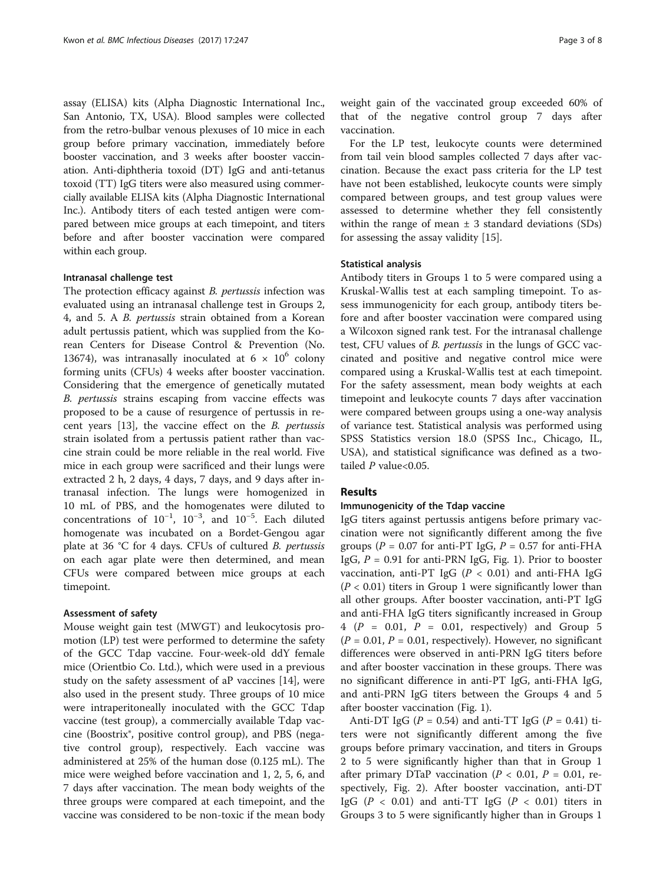assay (ELISA) kits (Alpha Diagnostic International Inc., San Antonio, TX, USA). Blood samples were collected from the retro-bulbar venous plexuses of 10 mice in each group before primary vaccination, immediately before booster vaccination, and 3 weeks after booster vaccination. Anti-diphtheria toxoid (DT) IgG and anti-tetanus toxoid (TT) IgG titers were also measured using commercially available ELISA kits (Alpha Diagnostic International Inc.). Antibody titers of each tested antigen were compared between mice groups at each timepoint, and titers before and after booster vaccination were compared within each group.

## Intranasal challenge test

The protection efficacy against *B. pertussis* infection was evaluated using an intranasal challenge test in Groups 2, 4, and 5. A B. pertussis strain obtained from a Korean adult pertussis patient, which was supplied from the Korean Centers for Disease Control & Prevention (No. 13674), was intranasally inoculated at 6  $\times$  10<sup>6</sup> colony forming units (CFUs) 4 weeks after booster vaccination. Considering that the emergence of genetically mutated B. pertussis strains escaping from vaccine effects was proposed to be a cause of resurgence of pertussis in recent years [\[13\]](#page-6-0), the vaccine effect on the B. pertussis strain isolated from a pertussis patient rather than vaccine strain could be more reliable in the real world. Five mice in each group were sacrificed and their lungs were extracted 2 h, 2 days, 4 days, 7 days, and 9 days after intranasal infection. The lungs were homogenized in 10 mL of PBS, and the homogenates were diluted to concentrations of  $10^{-1}$ ,  $10^{-3}$ , and  $10^{-5}$ . Each diluted homogenate was incubated on a Bordet-Gengou agar plate at 36 °C for 4 days. CFUs of cultured B. pertussis on each agar plate were then determined, and mean CFUs were compared between mice groups at each timepoint.

## Assessment of safety

Mouse weight gain test (MWGT) and leukocytosis promotion (LP) test were performed to determine the safety of the GCC Tdap vaccine. Four-week-old ddY female mice (Orientbio Co. Ltd.), which were used in a previous study on the safety assessment of aP vaccines [[14](#page-6-0)], were also used in the present study. Three groups of 10 mice were intraperitoneally inoculated with the GCC Tdap vaccine (test group), a commercially available Tdap vaccine (Boostrix®, positive control group), and PBS (negative control group), respectively. Each vaccine was administered at 25% of the human dose (0.125 mL). The mice were weighed before vaccination and 1, 2, 5, 6, and 7 days after vaccination. The mean body weights of the three groups were compared at each timepoint, and the vaccine was considered to be non-toxic if the mean body

weight gain of the vaccinated group exceeded 60% of that of the negative control group 7 days after vaccination.

For the LP test, leukocyte counts were determined from tail vein blood samples collected 7 days after vaccination. Because the exact pass criteria for the LP test have not been established, leukocyte counts were simply compared between groups, and test group values were assessed to determine whether they fell consistently within the range of mean  $\pm$  3 standard deviations (SDs) for assessing the assay validity [\[15\]](#page-6-0).

## Statistical analysis

Antibody titers in Groups 1 to 5 were compared using a Kruskal-Wallis test at each sampling timepoint. To assess immunogenicity for each group, antibody titers before and after booster vaccination were compared using a Wilcoxon signed rank test. For the intranasal challenge test, CFU values of B. pertussis in the lungs of GCC vaccinated and positive and negative control mice were compared using a Kruskal-Wallis test at each timepoint. For the safety assessment, mean body weights at each timepoint and leukocyte counts 7 days after vaccination were compared between groups using a one-way analysis of variance test. Statistical analysis was performed using SPSS Statistics version 18.0 (SPSS Inc., Chicago, IL, USA), and statistical significance was defined as a twotailed  $P$  value< $0.05$ .

## Results

## Immunogenicity of the Tdap vaccine

IgG titers against pertussis antigens before primary vaccination were not significantly different among the five groups ( $P = 0.07$  for anti-PT IgG,  $P = 0.57$  for anti-FHA IgG,  $P = 0.91$  for anti-PRN IgG, Fig. [1\)](#page-3-0). Prior to booster vaccination, anti-PT IgG ( $P < 0.01$ ) and anti-FHA IgG  $(P < 0.01)$  titers in Group 1 were significantly lower than all other groups. After booster vaccination, anti-PT IgG and anti-FHA IgG titers significantly increased in Group  $4 (P = 0.01, P = 0.01, respectively)$  and Group 5  $(P = 0.01, P = 0.01,$  respectively). However, no significant differences were observed in anti-PRN IgG titers before and after booster vaccination in these groups. There was no significant difference in anti-PT IgG, anti-FHA IgG, and anti-PRN IgG titers between the Groups 4 and 5 after booster vaccination (Fig. [1\)](#page-3-0).

Anti-DT IgG ( $P = 0.54$ ) and anti-TT IgG ( $P = 0.41$ ) titers were not significantly different among the five groups before primary vaccination, and titers in Groups 2 to 5 were significantly higher than that in Group 1 after primary DTaP vaccination ( $P < 0.01$ ,  $P = 0.01$ , respectively, Fig. [2](#page-3-0)). After booster vaccination, anti-DT IgG ( $P < 0.01$ ) and anti-TT IgG ( $P < 0.01$ ) titers in Groups 3 to 5 were significantly higher than in Groups 1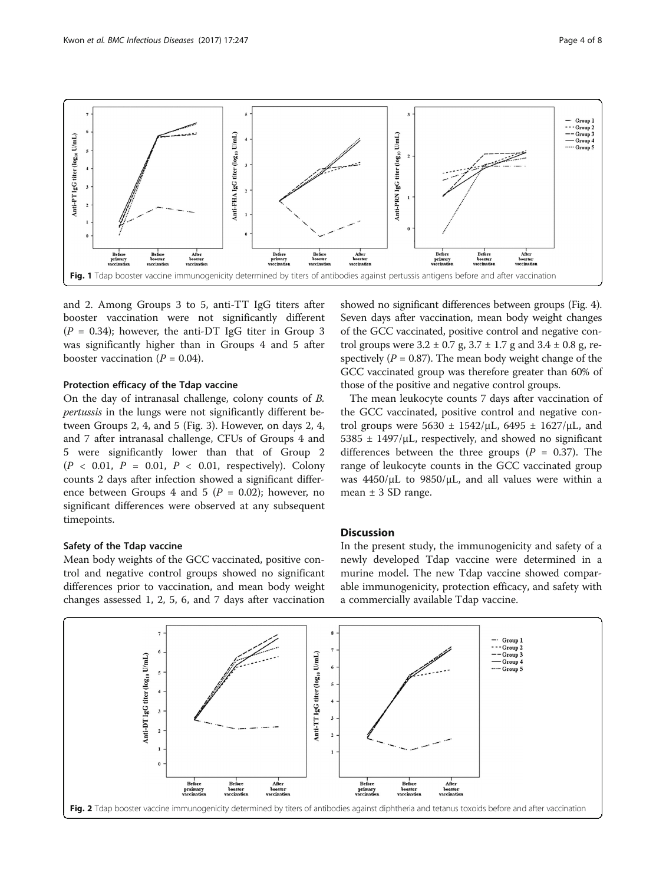<span id="page-3-0"></span>

and 2. Among Groups 3 to 5, anti-TT IgG titers after booster vaccination were not significantly different  $(P = 0.34)$ ; however, the anti-DT IgG titer in Group 3 was significantly higher than in Groups 4 and 5 after booster vaccination ( $P = 0.04$ ).

## Protection efficacy of the Tdap vaccine

On the day of intranasal challenge, colony counts of B. pertussis in the lungs were not significantly different between Groups 2, 4, and 5 (Fig. [3](#page-4-0)). However, on days 2, 4, and 7 after intranasal challenge, CFUs of Groups 4 and 5 were significantly lower than that of Group 2  $(P < 0.01, P = 0.01, P < 0.01,$  respectively). Colony counts 2 days after infection showed a significant difference between Groups 4 and 5 ( $P = 0.02$ ); however, no significant differences were observed at any subsequent timepoints.

## Safety of the Tdap vaccine

Mean body weights of the GCC vaccinated, positive control and negative control groups showed no significant differences prior to vaccination, and mean body weight changes assessed 1, 2, 5, 6, and 7 days after vaccination showed no significant differences between groups (Fig. [4](#page-4-0)). Seven days after vaccination, mean body weight changes of the GCC vaccinated, positive control and negative control groups were  $3.2 \pm 0.7$  g,  $3.7 \pm 1.7$  g and  $3.4 \pm 0.8$  g, respectively ( $P = 0.87$ ). The mean body weight change of the GCC vaccinated group was therefore greater than 60% of those of the positive and negative control groups.

The mean leukocyte counts 7 days after vaccination of the GCC vaccinated, positive control and negative control groups were 5630  $\pm$  1542/μL, 6495  $\pm$  1627/μL, and  $5385 \pm 1497/\mu L$ , respectively, and showed no significant differences between the three groups ( $P = 0.37$ ). The range of leukocyte counts in the GCC vaccinated group was  $4450/\mu L$  to  $9850/\mu L$ , and all values were within a mean  $\pm$  3 SD range.

## Discussion

In the present study, the immunogenicity and safety of a newly developed Tdap vaccine were determined in a murine model. The new Tdap vaccine showed comparable immunogenicity, protection efficacy, and safety with a commercially available Tdap vaccine.

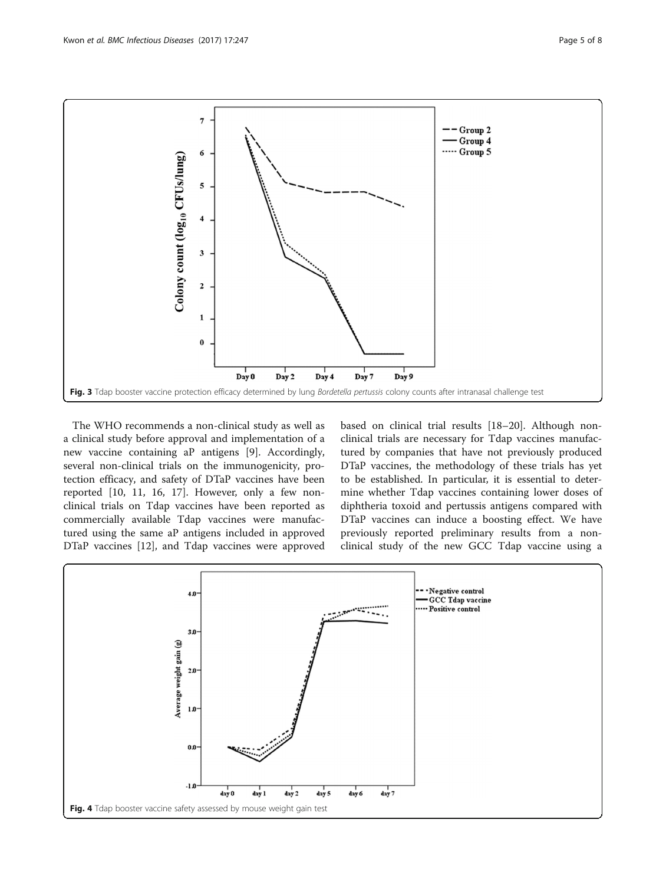<span id="page-4-0"></span>

The WHO recommends a non-clinical study as well as a clinical study before approval and implementation of a new vaccine containing aP antigens [\[9\]](#page-6-0). Accordingly, several non-clinical trials on the immunogenicity, protection efficacy, and safety of DTaP vaccines have been reported [\[10](#page-6-0), [11, 16, 17](#page-6-0)]. However, only a few nonclinical trials on Tdap vaccines have been reported as commercially available Tdap vaccines were manufactured using the same aP antigens included in approved DTaP vaccines [[12](#page-6-0)], and Tdap vaccines were approved

based on clinical trial results [\[18](#page-6-0)–[20\]](#page-6-0). Although nonclinical trials are necessary for Tdap vaccines manufactured by companies that have not previously produced DTaP vaccines, the methodology of these trials has yet to be established. In particular, it is essential to determine whether Tdap vaccines containing lower doses of diphtheria toxoid and pertussis antigens compared with DTaP vaccines can induce a boosting effect. We have previously reported preliminary results from a nonclinical study of the new GCC Tdap vaccine using a

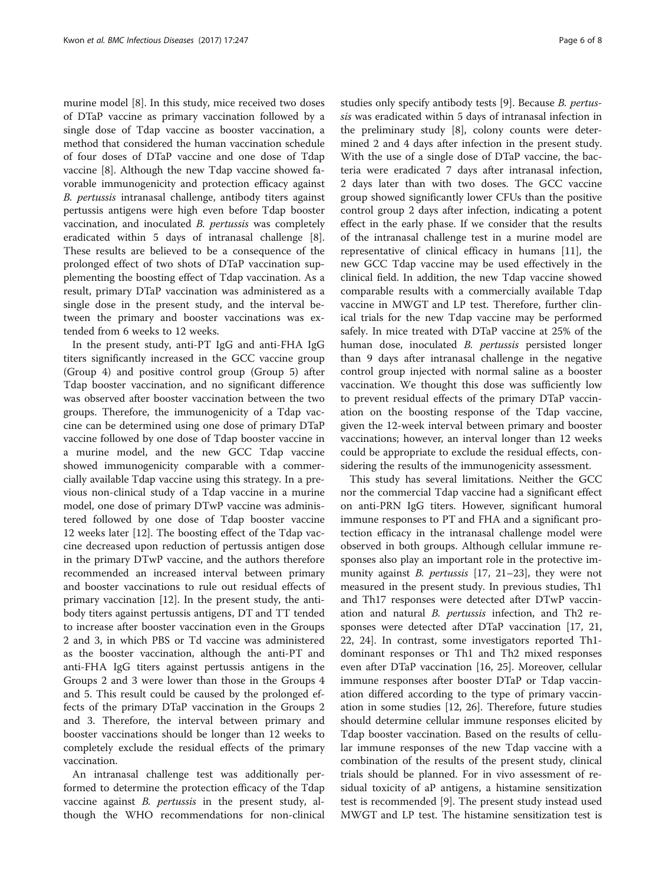murine model [[8\]](#page-6-0). In this study, mice received two doses of DTaP vaccine as primary vaccination followed by a single dose of Tdap vaccine as booster vaccination, a method that considered the human vaccination schedule of four doses of DTaP vaccine and one dose of Tdap vaccine [[8\]](#page-6-0). Although the new Tdap vaccine showed favorable immunogenicity and protection efficacy against B. pertussis intranasal challenge, antibody titers against pertussis antigens were high even before Tdap booster vaccination, and inoculated B. pertussis was completely eradicated within 5 days of intranasal challenge [\[8](#page-6-0)]. These results are believed to be a consequence of the prolonged effect of two shots of DTaP vaccination supplementing the boosting effect of Tdap vaccination. As a result, primary DTaP vaccination was administered as a single dose in the present study, and the interval between the primary and booster vaccinations was extended from 6 weeks to 12 weeks.

In the present study, anti-PT IgG and anti-FHA IgG titers significantly increased in the GCC vaccine group (Group 4) and positive control group (Group 5) after Tdap booster vaccination, and no significant difference was observed after booster vaccination between the two groups. Therefore, the immunogenicity of a Tdap vaccine can be determined using one dose of primary DTaP vaccine followed by one dose of Tdap booster vaccine in a murine model, and the new GCC Tdap vaccine showed immunogenicity comparable with a commercially available Tdap vaccine using this strategy. In a previous non-clinical study of a Tdap vaccine in a murine model, one dose of primary DTwP vaccine was administered followed by one dose of Tdap booster vaccine 12 weeks later [[12\]](#page-6-0). The boosting effect of the Tdap vaccine decreased upon reduction of pertussis antigen dose in the primary DTwP vaccine, and the authors therefore recommended an increased interval between primary and booster vaccinations to rule out residual effects of primary vaccination [[12](#page-6-0)]. In the present study, the antibody titers against pertussis antigens, DT and TT tended to increase after booster vaccination even in the Groups 2 and 3, in which PBS or Td vaccine was administered as the booster vaccination, although the anti-PT and anti-FHA IgG titers against pertussis antigens in the Groups 2 and 3 were lower than those in the Groups 4 and 5. This result could be caused by the prolonged effects of the primary DTaP vaccination in the Groups 2 and 3. Therefore, the interval between primary and booster vaccinations should be longer than 12 weeks to completely exclude the residual effects of the primary vaccination.

An intranasal challenge test was additionally performed to determine the protection efficacy of the Tdap vaccine against B. pertussis in the present study, although the WHO recommendations for non-clinical studies only specify antibody tests [\[9](#page-6-0)]. Because B. pertussis was eradicated within 5 days of intranasal infection in the preliminary study [\[8](#page-6-0)], colony counts were determined 2 and 4 days after infection in the present study. With the use of a single dose of DTaP vaccine, the bacteria were eradicated 7 days after intranasal infection, 2 days later than with two doses. The GCC vaccine group showed significantly lower CFUs than the positive control group 2 days after infection, indicating a potent effect in the early phase. If we consider that the results of the intranasal challenge test in a murine model are representative of clinical efficacy in humans [\[11\]](#page-6-0), the new GCC Tdap vaccine may be used effectively in the clinical field. In addition, the new Tdap vaccine showed comparable results with a commercially available Tdap vaccine in MWGT and LP test. Therefore, further clinical trials for the new Tdap vaccine may be performed safely. In mice treated with DTaP vaccine at 25% of the human dose, inoculated B. pertussis persisted longer than 9 days after intranasal challenge in the negative control group injected with normal saline as a booster vaccination. We thought this dose was sufficiently low to prevent residual effects of the primary DTaP vaccination on the boosting response of the Tdap vaccine, given the 12-week interval between primary and booster vaccinations; however, an interval longer than 12 weeks could be appropriate to exclude the residual effects, considering the results of the immunogenicity assessment.

This study has several limitations. Neither the GCC nor the commercial Tdap vaccine had a significant effect on anti-PRN IgG titers. However, significant humoral immune responses to PT and FHA and a significant protection efficacy in the intranasal challenge model were observed in both groups. Although cellular immune responses also play an important role in the protective immunity against B. pertussis [[17,](#page-6-0) [21](#page-7-0)–[23\]](#page-7-0), they were not measured in the present study. In previous studies, Th1 and Th17 responses were detected after DTwP vaccination and natural B. pertussis infection, and Th2 responses were detected after DTaP vaccination [[17,](#page-6-0) [21](#page-7-0), [22, 24](#page-7-0)]. In contrast, some investigators reported Th1 dominant responses or Th1 and Th2 mixed responses even after DTaP vaccination [\[16,](#page-6-0) [25\]](#page-7-0). Moreover, cellular immune responses after booster DTaP or Tdap vaccination differed according to the type of primary vaccination in some studies [\[12,](#page-6-0) [26\]](#page-7-0). Therefore, future studies should determine cellular immune responses elicited by Tdap booster vaccination. Based on the results of cellular immune responses of the new Tdap vaccine with a combination of the results of the present study, clinical trials should be planned. For in vivo assessment of residual toxicity of aP antigens, a histamine sensitization test is recommended [[9\]](#page-6-0). The present study instead used MWGT and LP test. The histamine sensitization test is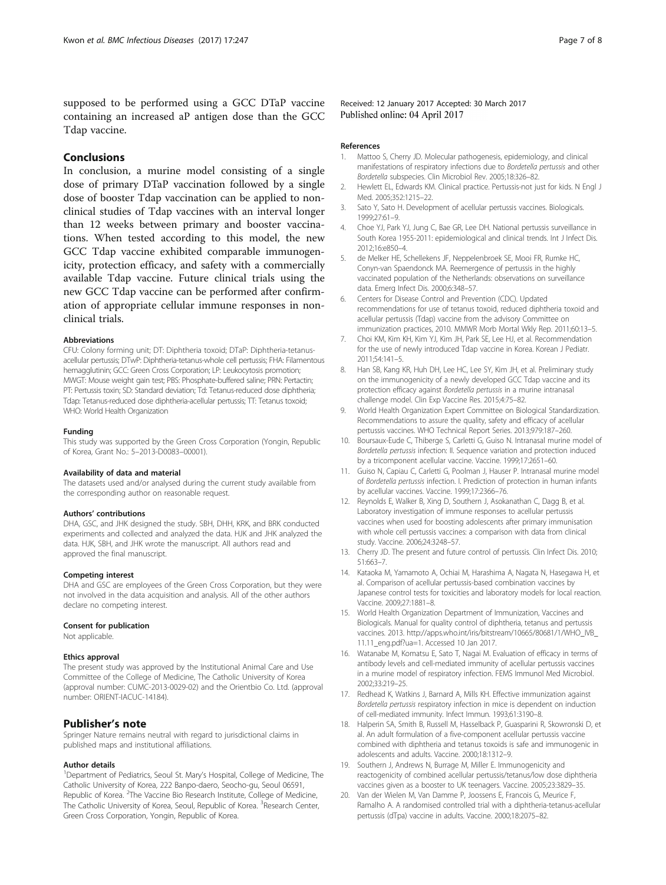<span id="page-6-0"></span>supposed to be performed using a GCC DTaP vaccine containing an increased aP antigen dose than the GCC Tdap vaccine.

## Conclusions

In conclusion, a murine model consisting of a single dose of primary DTaP vaccination followed by a single dose of booster Tdap vaccination can be applied to nonclinical studies of Tdap vaccines with an interval longer than 12 weeks between primary and booster vaccinations. When tested according to this model, the new GCC Tdap vaccine exhibited comparable immunogenicity, protection efficacy, and safety with a commercially available Tdap vaccine. Future clinical trials using the new GCC Tdap vaccine can be performed after confirmation of appropriate cellular immune responses in nonclinical trials.

## Abbreviations

CFU: Colony forming unit; DT: Diphtheria toxoid; DTaP: Diphtheria-tetanusacellular pertussis; DTwP: Diphtheria-tetanus-whole cell pertussis; FHA: Filamentous hemagglutinin; GCC: Green Cross Corporation; LP: Leukocytosis promotion; MWGT: Mouse weight gain test; PBS: Phosphate-buffered saline; PRN: Pertactin; PT: Pertussis toxin; SD: Standard deviation; Td: Tetanus-reduced dose diphtheria; Tdap: Tetanus-reduced dose diphtheria-acellular pertussis; TT: Tetanus toxoid; WHO: World Health Organization

#### Funding

This study was supported by the Green Cross Corporation (Yongin, Republic of Korea, Grant No.: 5–2013-D0083–00001).

## Availability of data and material

The datasets used and/or analysed during the current study available from the corresponding author on reasonable request.

#### Authors' contributions

DHA, GSC, and JHK designed the study. SBH, DHH, KRK, and BRK conducted experiments and collected and analyzed the data. HJK and JHK analyzed the data. HJK, SBH, and JHK wrote the manuscript. All authors read and approved the final manuscript.

#### Competing interest

DHA and GSC are employees of the Green Cross Corporation, but they were not involved in the data acquisition and analysis. All of the other authors declare no competing interest.

#### Consent for publication

Not applicable.

### Ethics approval

The present study was approved by the Institutional Animal Care and Use Committee of the College of Medicine, The Catholic University of Korea (approval number: CUMC-2013-0029-02) and the Orientbio Co. Ltd. (approval number: ORIENT-IACUC-14184).

## Publisher's note

Springer Nature remains neutral with regard to jurisdictional claims in published maps and institutional affiliations.

#### Author details

<sup>1</sup>Department of Pediatrics, Seoul St. Mary's Hospital, College of Medicine, The Catholic University of Korea, 222 Banpo-daero, Seocho-gu, Seoul 06591, Republic of Korea. <sup>2</sup>The Vaccine Bio Research Institute, College of Medicine, The Catholic University of Korea, Seoul, Republic of Korea. <sup>3</sup>Research Center, Green Cross Corporation, Yongin, Republic of Korea.

Received: 12 January 2017 Accepted: 30 March 2017 Published online: 04 April 2017

#### References

- 1. Mattoo S, Cherry JD. Molecular pathogenesis, epidemiology, and clinical manifestations of respiratory infections due to Bordetella pertussis and other Bordetella subspecies. Clin Microbiol Rev. 2005;18:326–82.
- 2. Hewlett EL, Edwards KM. Clinical practice. Pertussis-not just for kids. N Engl J Med. 2005;352:1215–22.
- 3. Sato Y, Sato H. Development of acellular pertussis vaccines. Biologicals. 1999;27:61–9.
- 4. Choe YJ, Park YJ, Jung C, Bae GR, Lee DH. National pertussis surveillance in South Korea 1955-2011: epidemiological and clinical trends. Int J Infect Dis. 2012;16:e850–4.
- 5. de Melker HE, Schellekens JF, Neppelenbroek SE, Mooi FR, Rumke HC, Conyn-van Spaendonck MA. Reemergence of pertussis in the highly vaccinated population of the Netherlands: observations on surveillance data. Emerg Infect Dis. 2000;6:348–57.
- 6. Centers for Disease Control and Prevention (CDC). Updated recommendations for use of tetanus toxoid, reduced diphtheria toxoid and acellular pertussis (Tdap) vaccine from the advisory Committee on immunization practices, 2010. MMWR Morb Mortal Wkly Rep. 2011;60:13–5.
- 7. Choi KM, Kim KH, Kim YJ, Kim JH, Park SE, Lee HJ, et al. Recommendation for the use of newly introduced Tdap vaccine in Korea. Korean J Pediatr. 2011;54:141–5.
- 8. Han SB, Kang KR, Huh DH, Lee HC, Lee SY, Kim JH, et al. Preliminary study on the immunogenicity of a newly developed GCC Tdap vaccine and its protection efficacy against Bordetella pertussis in a murine intranasal challenge model. Clin Exp Vaccine Res. 2015;4:75–82.
- 9. World Health Organization Expert Committee on Biological Standardization. Recommendations to assure the quality, safety and efficacy of acellular pertussis vaccines. WHO Technical Report Series. 2013;979:187–260.
- 10. Boursaux-Eude C, Thiberge S, Carletti G, Guiso N. Intranasal murine model of Bordetella pertussis infection: II. Sequence variation and protection induced by a tricomponent acellular vaccine. Vaccine. 1999;17:2651–60.
- 11. Guiso N, Capiau C, Carletti G, Poolman J, Hauser P. Intranasal murine model of Bordetella pertussis infection. I. Prediction of protection in human infants by acellular vaccines. Vaccine. 1999;17:2366–76.
- 12. Reynolds E, Walker B, Xing D, Southern J, Asokanathan C, Dagg B, et al. Laboratory investigation of immune responses to acellular pertussis vaccines when used for boosting adolescents after primary immunisation with whole cell pertussis vaccines: a comparison with data from clinical study. Vaccine. 2006;24:3248–57.
- 13. Cherry JD. The present and future control of pertussis. Clin Infect Dis. 2010; 51:663–7.
- 14. Kataoka M, Yamamoto A, Ochiai M, Harashima A, Nagata N, Hasegawa H, et al. Comparison of acellular pertussis-based combination vaccines by Japanese control tests for toxicities and laboratory models for local reaction. Vaccine. 2009;27:1881–8.
- 15. World Health Organization Department of Immunization, Vaccines and Biologicals. Manual for quality control of diphtheria, tetanus and pertussis vaccines. 2013. [http://apps.who.int/iris/bitstream/10665/80681/1/WHO\\_IVB\\_](http://apps.who.int/iris/bitstream/10665/80681/1/WHO_IVB_11.11_eng.pdf?ua=1) [11.11\\_eng.pdf?ua=1](http://apps.who.int/iris/bitstream/10665/80681/1/WHO_IVB_11.11_eng.pdf?ua=1). Accessed 10 Jan 2017.
- 16. Watanabe M, Komatsu E, Sato T, Nagai M. Evaluation of efficacy in terms of antibody levels and cell-mediated immunity of acellular pertussis vaccines in a murine model of respiratory infection. FEMS Immunol Med Microbiol. 2002;33:219–25.
- 17. Redhead K, Watkins J, Barnard A, Mills KH. Effective immunization against Bordetella pertussis respiratory infection in mice is dependent on induction of cell-mediated immunity. Infect Immun. 1993;61:3190–8.
- 18. Halperin SA, Smith B, Russell M, Hasselback P, Guasparini R, Skowronski D, et al. An adult formulation of a five-component acellular pertussis vaccine combined with diphtheria and tetanus toxoids is safe and immunogenic in adolescents and adults. Vaccine. 2000;18:1312–9.
- 19. Southern J, Andrews N, Burrage M, Miller E. Immunogenicity and reactogenicity of combined acellular pertussis/tetanus/low dose diphtheria vaccines given as a booster to UK teenagers. Vaccine. 2005;23:3829–35.
- 20. Van der Wielen M, Van Damme P, Joossens E, Francois G, Meurice F, Ramalho A. A randomised controlled trial with a diphtheria-tetanus-acellular pertussis (dTpa) vaccine in adults. Vaccine. 2000;18:2075–82.